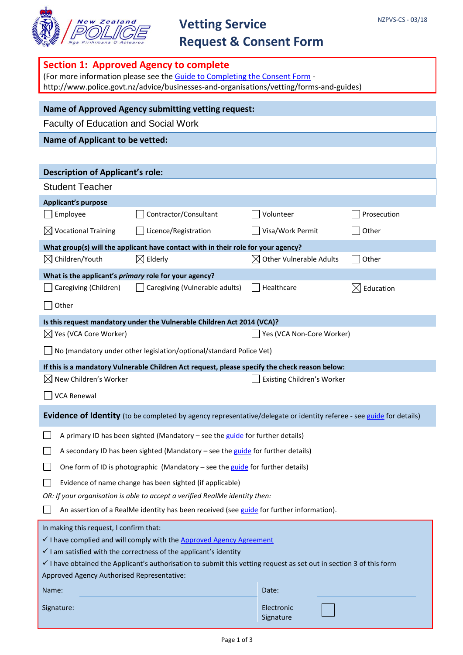

# **Vetting Service**

# **Request & Consent Form**

| <b>Section 1: Approved Agency to complete</b><br>(For more information please see the Guide to Completing the Consent Form -<br>http://www.police.govt.nz/advice/businesses-and-organisations/vetting/forms-and-guides)                                                                                                                                                                    |                                                                                                                      |                                     |                  |  |
|--------------------------------------------------------------------------------------------------------------------------------------------------------------------------------------------------------------------------------------------------------------------------------------------------------------------------------------------------------------------------------------------|----------------------------------------------------------------------------------------------------------------------|-------------------------------------|------------------|--|
| <b>Name of Approved Agency submitting vetting request:</b>                                                                                                                                                                                                                                                                                                                                 |                                                                                                                      |                                     |                  |  |
| <b>Faculty of Education and Social Work</b>                                                                                                                                                                                                                                                                                                                                                |                                                                                                                      |                                     |                  |  |
| <b>Name of Applicant to be vetted:</b>                                                                                                                                                                                                                                                                                                                                                     |                                                                                                                      |                                     |                  |  |
|                                                                                                                                                                                                                                                                                                                                                                                            |                                                                                                                      |                                     |                  |  |
| <b>Description of Applicant's role:</b>                                                                                                                                                                                                                                                                                                                                                    |                                                                                                                      |                                     |                  |  |
| <b>Student Teacher</b>                                                                                                                                                                                                                                                                                                                                                                     |                                                                                                                      |                                     |                  |  |
| <b>Applicant's purpose</b>                                                                                                                                                                                                                                                                                                                                                                 |                                                                                                                      |                                     |                  |  |
| Employee                                                                                                                                                                                                                                                                                                                                                                                   | Contractor/Consultant                                                                                                | Volunteer                           | Prosecution      |  |
| $\boxtimes$ Vocational Training                                                                                                                                                                                                                                                                                                                                                            | Licence/Registration                                                                                                 | Visa/Work Permit                    | Other            |  |
|                                                                                                                                                                                                                                                                                                                                                                                            | What group(s) will the applicant have contact with in their role for your agency?                                    |                                     |                  |  |
| $\boxtimes$ Children/Youth                                                                                                                                                                                                                                                                                                                                                                 | $\boxtimes$ Elderly                                                                                                  | $\boxtimes$ Other Vulnerable Adults | Other            |  |
| What is the applicant's primary role for your agency?                                                                                                                                                                                                                                                                                                                                      |                                                                                                                      |                                     |                  |  |
| Caregiving (Children)                                                                                                                                                                                                                                                                                                                                                                      | Caregiving (Vulnerable adults)                                                                                       | Healthcare                          | Education<br>IXI |  |
| Other                                                                                                                                                                                                                                                                                                                                                                                      |                                                                                                                      |                                     |                  |  |
|                                                                                                                                                                                                                                                                                                                                                                                            | Is this request mandatory under the Vulnerable Children Act 2014 (VCA)?                                              |                                     |                  |  |
| $\boxtimes$ Yes (VCA Core Worker)                                                                                                                                                                                                                                                                                                                                                          |                                                                                                                      | Yes (VCA Non-Core Worker)           |                  |  |
|                                                                                                                                                                                                                                                                                                                                                                                            | No (mandatory under other legislation/optional/standard Police Vet)                                                  |                                     |                  |  |
|                                                                                                                                                                                                                                                                                                                                                                                            | If this is a mandatory Vulnerable Children Act request, please specify the check reason below:                       |                                     |                  |  |
| New Children's Worker<br>IXI                                                                                                                                                                                                                                                                                                                                                               |                                                                                                                      | Existing Children's Worker          |                  |  |
| <b>VCA Renewal</b>                                                                                                                                                                                                                                                                                                                                                                         |                                                                                                                      |                                     |                  |  |
|                                                                                                                                                                                                                                                                                                                                                                                            | Evidence of Identity (to be completed by agency representative/delegate or identity referee - see guide for details) |                                     |                  |  |
|                                                                                                                                                                                                                                                                                                                                                                                            | A primary ID has been sighted (Mandatory - see the guide for further details)                                        |                                     |                  |  |
| A secondary ID has been sighted (Mandatory - see the guide for further details)                                                                                                                                                                                                                                                                                                            |                                                                                                                      |                                     |                  |  |
| One form of ID is photographic (Mandatory - see the guide for further details)                                                                                                                                                                                                                                                                                                             |                                                                                                                      |                                     |                  |  |
| Evidence of name change has been sighted (if applicable)                                                                                                                                                                                                                                                                                                                                   |                                                                                                                      |                                     |                  |  |
| OR: If your organisation is able to accept a verified RealMe identity then:                                                                                                                                                                                                                                                                                                                |                                                                                                                      |                                     |                  |  |
| An assertion of a RealMe identity has been received (see guide for further information).                                                                                                                                                                                                                                                                                                   |                                                                                                                      |                                     |                  |  |
| In making this request, I confirm that:<br>$\checkmark$ I have complied and will comply with the Approved Agency Agreement<br>$\checkmark$ I am satisfied with the correctness of the applicant's identity<br>$\checkmark$ I have obtained the Applicant's authorisation to submit this vetting request as set out in section 3 of this form<br>Approved Agency Authorised Representative: |                                                                                                                      |                                     |                  |  |
| Name:                                                                                                                                                                                                                                                                                                                                                                                      |                                                                                                                      | Date:                               |                  |  |
| Signature:                                                                                                                                                                                                                                                                                                                                                                                 |                                                                                                                      | Electronic<br>Signature             |                  |  |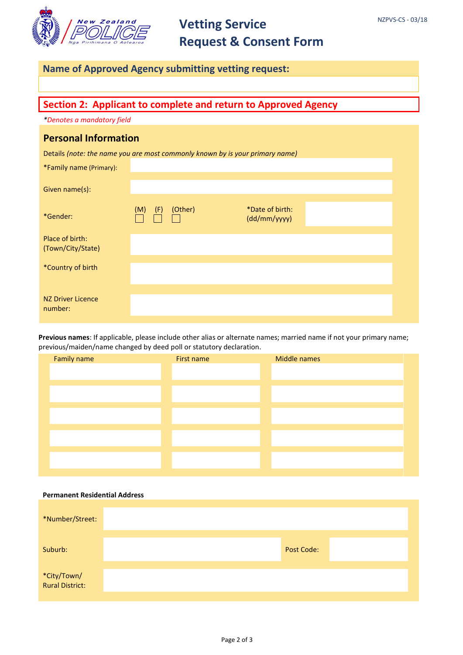

## **Vetting Service Request & Consent Form**

### **Name of Approved Agency submitting vetting request:**

### **Section 2: Applicant to complete and return to Approved Agency**

*\*Denotes a mandatory field*

### **Personal Information**

Details *(note: the name you are most commonly known by is your primary name)*

| *Family name (Primary):              |            |         |                                 |  |
|--------------------------------------|------------|---------|---------------------------------|--|
| Given name(s):                       |            |         |                                 |  |
| *Gender:                             | (M)<br>(F) | (Other) | *Date of birth:<br>(dd/mm/yyyy) |  |
| Place of birth:<br>(Town/City/State) |            |         |                                 |  |
| *Country of birth                    |            |         |                                 |  |
| <b>NZ Driver Licence</b><br>number:  |            |         |                                 |  |

**Previous names**: If applicable, please include other alias or alternate names; married name if not your primary name; previous/maiden/name changed by deed poll or statutory declaration.

| First name | Middle names |  |
|------------|--------------|--|
|            |              |  |
|            |              |  |
|            |              |  |
|            |              |  |
|            |              |  |
|            |              |  |
|            |              |  |
|            |              |  |
|            |              |  |
|            |              |  |

#### **Permanent Residential Address**

| *Number/Street:                |                   |  |
|--------------------------------|-------------------|--|
| Suburb:                        | <b>Post Code:</b> |  |
| *City/Town/<br>Rural District: |                   |  |